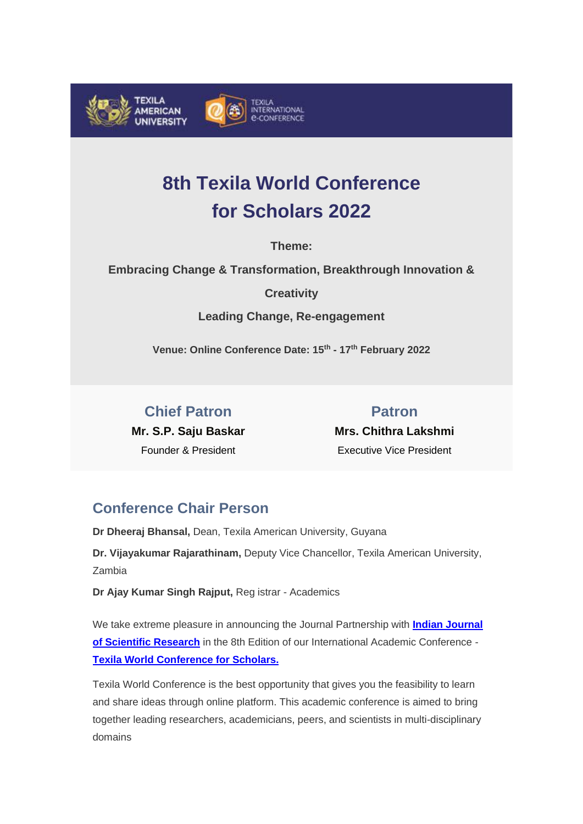

# **8th Texila World Conference for Scholars 2022**

**Theme:**

**Embracing Change & Transformation, Breakthrough Innovation &** 

**Creativity**

**Leading Change, Re-engagement** 

**Venue: Online Conference Date: 15th - 17th February 2022** 

**Chief Patron Mr. S.P. Saju Baskar**  Founder & President

**Patron Mrs. Chithra Lakshmi** Executive Vice President

## **Conference Chair Person**

**Dr Dheeraj Bhansal,** Dean, Texila American University, Guyana

**Dr. Vijayakumar Rajarathinam,** Deputy Vice Chancellor, Texila American University, Zambia

**Dr Ajay Kumar Singh Rajput,** Reg istrar - Academics

We take extreme pleasure in announcing the Journal Partnership with **[Indian Journal](http://www.google.com/url?q=http%3A%2F%2Fncdelivery.tau.edu.gy%2Fgtrack%3Fclientid%3D119651%26ul%3DCg0KDFwPCwAKCF1YCkoDGUURQgoLXEBEURRRWCJfD1MKWEsGXl5KTw%3D%3D%26ml%3DAgYLDRkGTggLB1cd%26sl%3DcUhwSTBlTmp%2BZRgPUFJWCVwSVRYdHUZWTUhVVhcWBUsfBQ%3D%3D%26pp%3D0%26%26c%3D0000&sa=D&sntz=1&usg=AFQjCNEr66KrleFofVPK0BM7pAHqBEsmAA)  [of Scientific Research](http://www.google.com/url?q=http%3A%2F%2Fncdelivery.tau.edu.gy%2Fgtrack%3Fclientid%3D119651%26ul%3DCg0KDFwPCwAKCF1YCkoDGUURQgoLXEBEURRRWCJfD1MKWEsGXl5KTw%3D%3D%26ml%3DAgYLDRkGTggLB1cd%26sl%3DcUhwSTBlTmp%2BZRgPUFJWCVwSVRYdHUZWTUhVVhcWBUsfBQ%3D%3D%26pp%3D0%26%26c%3D0000&sa=D&sntz=1&usg=AFQjCNEr66KrleFofVPK0BM7pAHqBEsmAA)** in the 8th Edition of our International Academic Conference - **[Texila World Conference for Scholars.](http://www.google.com/url?q=http%3A%2F%2Fncdelivery.tau.edu.gy%2Fgtrack%3Fclientid%3D119651%26ul%3DCg0KDFwPCwAKCF1YCkoDGUURQgoLXEBEURRRWCJfD1MKWEsGXl5KTw%3D%3D%26ml%3DAgYLDRkGTggHBVYd%26sl%3DcUhwSTBlTmp%2BZRgPUFJWCVwSVRYdHUZWTUhVVhcWBUsfBQ%3D%3D%26pp%3D0%26%26c%3D0000&sa=D&sntz=1&usg=AFQjCNFkyzXN01YCWLRyzs09laFxnEY5FA)**

Texila World Conference is the best opportunity that gives you the feasibility to learn and share ideas through online platform. This academic conference is aimed to bring together leading researchers, academicians, peers, and scientists in multi-disciplinary domains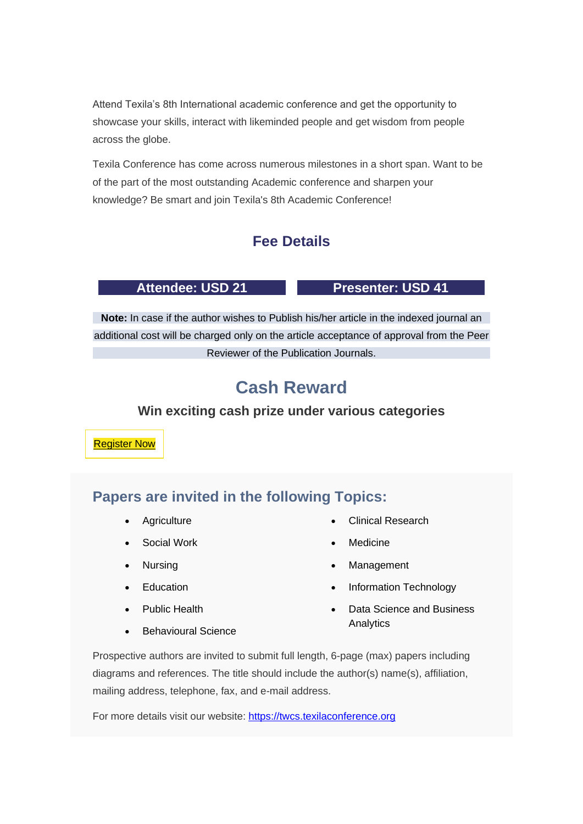Attend Texila's 8th International academic conference and get the opportunity to showcase your skills, interact with likeminded people and get wisdom from people across the globe.

Texila Conference has come across numerous milestones in a short span. Want to be of the part of the most outstanding Academic conference and sharpen your knowledge? Be smart and join Texila's 8th Academic Conference!

## **Fee Details**

#### Attendee: USD 21 Presenter: USD 41

**Note:** In case if the author wishes to Publish his/her article in the indexed journal an additional cost will be charged only on the article acceptance of approval from the Peer Reviewer of the Publication Journals.

# **Cash Reward**

### **Win exciting cash prize under various categories**

[Register](http://www.google.com/url?q=http%3A%2F%2Fncdelivery.tau.edu.gy%2Fgtrack%3Fclientid%3D119651%26ul%3DCg0KDFwPCwAKCF1YCkoDGUURQgoLXEBEURRRWCJfD1MKWEsGXl5KTw%3D%3D%26ml%3DAgYLDRkGTggLB1Ad%26sl%3DcUhwSTBlTmp%2BZRgPUFJWCVwSVRYdHUZWTUhVVhcWBUsfBQ%3D%3D%26pp%3D0%26%26c%3D0000&sa=D&sntz=1&usg=AFQjCNGbA7TqKYBs_6Ylu6j1SR-ulXjg_w) Now

## **Papers are invited in the following Topics:**

- **Agriculture**
- Social Work
- Nursing
- **Education**
- Public Health
- Behavioural Science
- Clinical Research
- **Medicine**
- **Management**
- Information Technology
- Data Science and Business Analytics

Prospective authors are invited to submit full length, 6-page (max) papers including diagrams and references. The title should include the author(s) name(s), affiliation, mailing address, telephone, fax, and e-mail address.

For more details visit our website: [https://twcs.texilaconference.org](http://www.google.com/url?q=http%3A%2F%2Fncdelivery.tau.edu.gy%2Fgtrack%3Fclientid%3D119651%26ul%3DCg0KDFwPCwAKCF1YCkoDGUURQgoLXEBEURRRWCJfD1MKWEsGXl5KTw%3D%3D%26ml%3DAgYLDRkGTggLAFId%26sl%3DcUhwSTBlTmp%2BZRgPUFJWCVwSVRYdHUZWTUhVVhcWBUsfBQ%3D%3D%26pp%3D0%26%26c%3D0000&sa=D&sntz=1&usg=AFQjCNFKCT3uxS8cH667BqtovTnz_2nm0w)